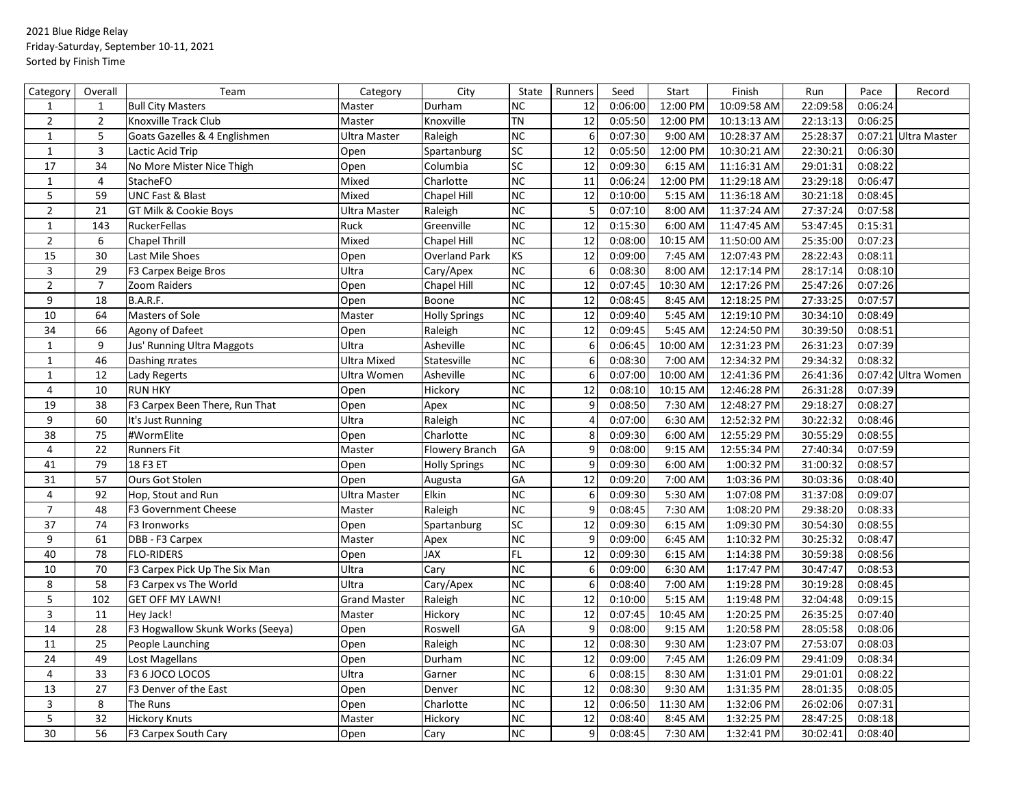## 2021 Blue Ridge Relay Friday-Saturday, September 10-11, 2021 Sorted by Finish Time

| Category       | Overall                 | Team                             | Category            | City                 | State                  | Runners          | Seed    | Start    | Finish      | Run      | Pace    | Record               |
|----------------|-------------------------|----------------------------------|---------------------|----------------------|------------------------|------------------|---------|----------|-------------|----------|---------|----------------------|
| 1              | $\mathbf{1}$            | <b>Bull City Masters</b>         | Master              | Durham               | NC.                    | 12               | 0:06:00 | 12:00 PM | 10:09:58 AM | 22:09:58 | 0:06:24 |                      |
| $\overline{2}$ | $\overline{2}$          | Knoxville Track Club             | Master              | Knoxville            | ΤN                     | 12               | 0:05:50 | 12:00 PM | 10:13:13 AM | 22:13:13 | 0:06:25 |                      |
| $\mathbf{1}$   | 5                       | Goats Gazelles & 4 Englishmen    | Ultra Master        | Raleigh              | <b>NC</b>              | 6                | 0:07:30 | 9:00 AM  | 10:28:37 AM | 25:28:37 |         | 0:07:21 Ultra Master |
| $\mathbf 1$    | $\overline{\mathbf{3}}$ | Lactic Acid Trip                 | Open                | Spartanburg          | SC                     | 12               | 0:05:50 | 12:00 PM | 10:30:21 AM | 22:30:21 | 0:06:30 |                      |
| 17             | 34                      | No More Mister Nice Thigh        | Open                | Columbia             | SC                     | 12               | 0:09:30 | 6:15 AM  | 11:16:31 AM | 29:01:31 | 0:08:22 |                      |
| $\mathbf{1}$   | $\overline{4}$          | StacheFO                         | Mixed               | Charlotte            | <b>NC</b>              | 11               | 0:06:24 | 12:00 PM | 11:29:18 AM | 23:29:18 | 0:06:47 |                      |
| 5              | 59                      | <b>UNC Fast &amp; Blast</b>      | Mixed               | Chapel Hill          | <b>NC</b>              | 12               | 0:10:00 | 5:15 AM  | 11:36:18 AM | 30:21:18 | 0:08:45 |                      |
| $\overline{2}$ | 21                      | GT Milk & Cookie Boys            | Ultra Master        | Raleigh              | NC                     | 5                | 0:07:10 | 8:00 AM  | 11:37:24 AM | 27:37:24 | 0:07:58 |                      |
| $\mathbf{1}$   | 143                     | RuckerFellas                     | Ruck                | Greenville           | <b>NC</b>              | 12               | 0:15:30 | 6:00 AM  | 11:47:45 AM | 53:47:45 | 0:15:31 |                      |
| $\overline{2}$ | 6                       | <b>Chapel Thrill</b>             | Mixed               | Chapel Hill          | NC                     | 12               | 0:08:00 | 10:15 AM | 11:50:00 AM | 25:35:00 | 0:07:23 |                      |
| 15             | 30                      | Last Mile Shoes                  | Open                | <b>Overland Park</b> | ΚS                     | 12               | 0:09:00 | 7:45 AM  | 12:07:43 PM | 28:22:43 | 0:08:11 |                      |
| 3              | 29                      | F3 Carpex Beige Bros             | Ultra               | Cary/Apex            | <b>NC</b>              | 6                | 0:08:30 | 8:00 AM  | 12:17:14 PM | 28:17:14 | 0:08:10 |                      |
| $\overline{2}$ | $\overline{7}$          | Zoom Raiders                     | Open                | Chapel Hill          | <b>NC</b>              | 12               | 0:07:45 | 10:30 AM | 12:17:26 PM | 25:47:26 | 0:07:26 |                      |
| 9              | 18                      | <b>B.A.R.F.</b>                  | Open                | Boone                | <b>NC</b>              | 12               | 0:08:45 | 8:45 AM  | 12:18:25 PM | 27:33:25 | 0:07:57 |                      |
| 10             | 64                      | Masters of Sole                  | Master              | <b>Holly Springs</b> | <b>NC</b>              | 12               | 0:09:40 | 5:45 AM  | 12:19:10 PM | 30:34:10 | 0:08:49 |                      |
| 34             | 66                      | Agony of Dafeet                  | Open                | Raleigh              | NC                     | 12               | 0:09:45 | 5:45 AM  | 12:24:50 PM | 30:39:50 | 0:08:51 |                      |
| $\mathbf{1}$   | 9                       | Jus' Running Ultra Maggots       | Ultra               | Asheville            | <b>NC</b>              | $6\,$            | 0:06:45 | 10:00 AM | 12:31:23 PM | 26:31:23 | 0:07:39 |                      |
| $\mathbf 1$    | 46                      | Dashing πrates                   | Ultra Mixed         | Statesville          | <b>NC</b>              | 6                | 0:08:30 | 7:00 AM  | 12:34:32 PM | 29:34:32 | 0:08:32 |                      |
| $\mathbf{1}$   | 12                      | Lady Regerts                     | Ultra Women         | Asheville            | <b>NC</b>              | 6                | 0:07:00 | 10:00 AM | 12:41:36 PM | 26:41:36 |         | 0:07:42 Ultra Women  |
| $\overline{4}$ | 10                      | <b>RUN HKY</b>                   | Open                | Hickory              | <b>NC</b>              | 12               | 0:08:10 | 10:15 AM | 12:46:28 PM | 26:31:28 | 0:07:39 |                      |
| 19             | 38                      | F3 Carpex Been There, Run That   | Open                | Apex                 | NC                     | 9                | 0:08:50 | 7:30 AM  | 12:48:27 PM | 29:18:27 | 0:08:27 |                      |
| 9              | 60                      | It's Just Running                | Ultra               | Raleigh              | <b>NC</b>              | $\overline{4}$   | 0:07:00 | 6:30 AM  | 12:52:32 PM | 30:22:32 | 0:08:46 |                      |
| 38             | 75                      | #WormElite                       | Open                | Charlotte            | <b>NC</b>              | 8                | 0:09:30 | 6:00 AM  | 12:55:29 PM | 30:55:29 | 0:08:55 |                      |
| 4              | 22                      | <b>Runners Fit</b>               | Master              | Flowery Branch       | GA                     | 9                | 0:08:00 | 9:15 AM  | 12:55:34 PM | 27:40:34 | 0:07:59 |                      |
| 41             | 79                      | 18 F3 ET                         | Open                | <b>Holly Springs</b> | <b>NC</b>              | 9                | 0:09:30 | 6:00 AM  | 1:00:32 PM  | 31:00:32 | 0:08:57 |                      |
| 31             | 57                      | Ours Got Stolen                  | Open                | Augusta              | GA                     | 12               | 0:09:20 | 7:00 AM  | 1:03:36 PM  | 30:03:36 | 0:08:40 |                      |
| 4              | 92                      | Hop, Stout and Run               | <b>Ultra Master</b> | Elkin                | <b>NC</b>              | $6 \overline{6}$ | 0:09:30 | 5:30 AM  | 1:07:08 PM  | 31:37:08 | 0:09:07 |                      |
| $\overline{7}$ | 48                      | F3 Government Cheese             | Master              | Raleigh              | $\overline{NC}$        | $\mathsf{q}$     | 0:08:45 | 7:30 AM  | 1:08:20 PM  | 29:38:20 | 0:08:33 |                      |
| 37             | 74                      | F3 Ironworks                     | Open                | Spartanburg          | SC                     | 12               | 0:09:30 | 6:15 AM  | 1:09:30 PM  | 30:54:30 | 0:08:55 |                      |
| 9              | 61                      | DBB - F3 Carpex                  | Master              | Apex                 | <b>NC</b>              | 9                | 0:09:00 | 6:45 AM  | 1:10:32 PM  | 30:25:32 | 0:08:47 |                      |
| 40             | 78                      | <b>FLO-RIDERS</b>                | Open                | <b>JAX</b>           | FL.                    | 12               | 0:09:30 | 6:15 AM  | 1:14:38 PM  | 30:59:38 | 0:08:56 |                      |
| 10             | 70                      | F3 Carpex Pick Up The Six Man    | Ultra               | Cary                 | NC                     | 6                | 0:09:00 | 6:30 AM  | 1:17:47 PM  | 30:47:47 | 0:08:53 |                      |
| 8              | 58                      | F3 Carpex vs The World           | Ultra               | Cary/Apex            | $\overline{NC}$        | 6                | 0:08:40 | 7:00 AM  | 1:19:28 PM  | 30:19:28 | 0:08:45 |                      |
| 5              | 102                     | <b>GET OFF MY LAWN!</b>          | <b>Grand Master</b> | Raleigh              | NC                     | 12               | 0:10:00 | 5:15 AM  | 1:19:48 PM  | 32:04:48 | 0:09:15 |                      |
| 3              | 11                      | Hey Jack!                        | Master              | Hickory              | <b>NC</b>              | 12               | 0:07:45 | 10:45 AM | 1:20:25 PM  | 26:35:25 | 0:07:40 |                      |
| 14             | 28                      | F3 Hogwallow Skunk Works (Seeya) | Open                | Roswell              | GA                     | 9                | 0:08:00 | 9:15 AM  | 1:20:58 PM  | 28:05:58 | 0:08:06 |                      |
| 11             | 25                      | People Launching                 | Open                | Raleigh              | <b>NC</b>              | 12               | 0:08:30 | 9:30 AM  | 1:23:07 PM  | 27:53:07 | 0:08:03 |                      |
| 24             | 49                      | Lost Magellans                   | Open                | Durham               | <b>NC</b>              | 12               | 0:09:00 | 7:45 AM  | 1:26:09 PM  | 29:41:09 | 0:08:34 |                      |
| $\overline{4}$ | 33                      | F3 6 JOCO LOCOS                  | Ultra               | Garner               | $\overline{\text{NC}}$ | 6                | 0:08:15 | 8:30 AM  | 1:31:01 PM  | 29:01:01 | 0:08:22 |                      |
| 13             | 27                      | F3 Denver of the East            | Open                | Denver               | NC                     | 12               | 0:08:30 | 9:30 AM  | 1:31:35 PM  | 28:01:35 | 0:08:05 |                      |
| 3              | 8                       | The Runs                         | Open                | Charlotte            | <b>NC</b>              | 12               | 0:06:50 | 11:30 AM | 1:32:06 PM  | 26:02:06 | 0:07:31 |                      |
| 5              | 32                      | <b>Hickory Knuts</b>             | Master              | Hickory              | NC                     | 12               | 0:08:40 | 8:45 AM  | 1:32:25 PM  | 28:47:25 | 0:08:18 |                      |
| 30             | 56                      | F3 Carpex South Cary             | Open                | Cary                 | <b>NC</b>              | $\overline{9}$   | 0:08:45 | 7:30 AM  | 1:32:41 PM  | 30:02:41 | 0:08:40 |                      |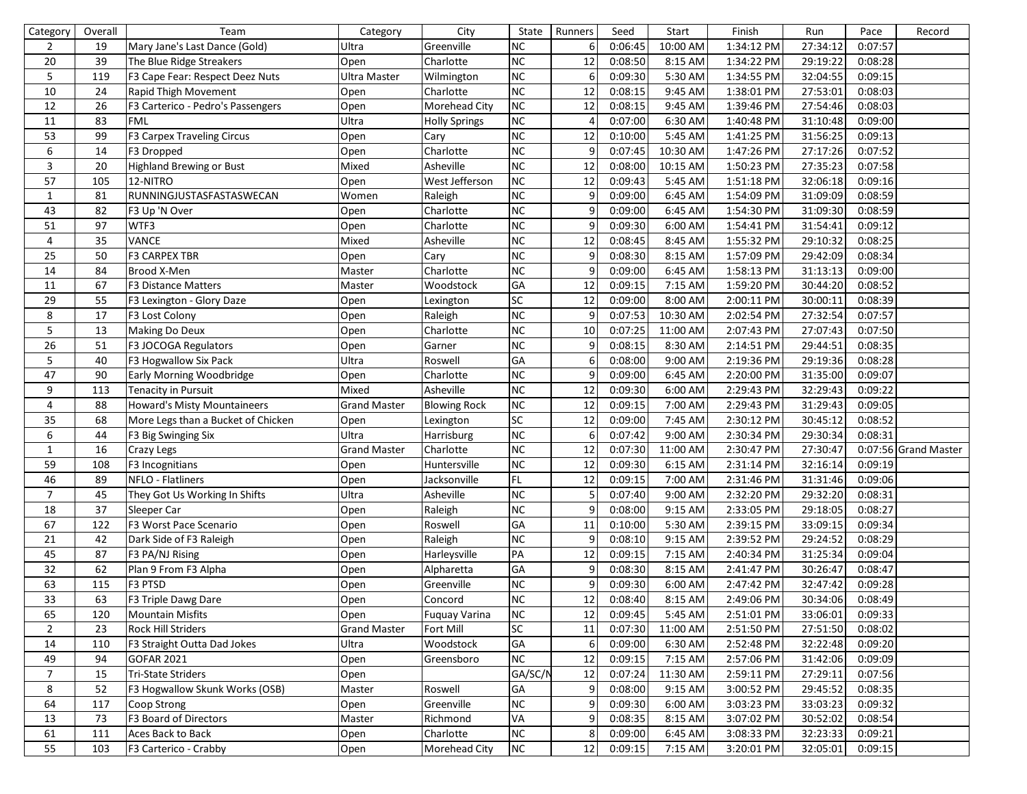| Category       | Overall | Team                               | Category            | City                 | State     | Runners | Seed    | Start    | Finish     | Run      | Pace    | Record               |
|----------------|---------|------------------------------------|---------------------|----------------------|-----------|---------|---------|----------|------------|----------|---------|----------------------|
| $\overline{2}$ | 19      | Mary Jane's Last Dance (Gold)      | Ultra               | Greenville           | <b>NC</b> | 6       | 0:06:45 | 10:00 AM | 1:34:12 PM | 27:34:12 | 0:07:57 |                      |
| 20             | 39      | The Blue Ridge Streakers           | Open                | Charlotte            | <b>NC</b> | 12      | 0:08:50 | 8:15 AM  | 1:34:22 PM | 29:19:22 | 0:08:28 |                      |
| 5              | 119     | F3 Cape Fear: Respect Deez Nuts    | Ultra Master        | Wilmington           | <b>NC</b> | 6       | 0:09:30 | 5:30 AM  | 1:34:55 PM | 32:04:55 | 0:09:15 |                      |
| 10             | 24      | Rapid Thigh Movement               | Open                | Charlotte            | <b>NC</b> | 12      | 0:08:15 | 9:45 AM  | 1:38:01 PM | 27:53:01 | 0:08:03 |                      |
| 12             | 26      | F3 Carterico - Pedro's Passengers  | Open                | <b>Morehead City</b> | <b>NC</b> | 12      | 0:08:15 | 9:45 AM  | 1:39:46 PM | 27:54:46 | 0:08:03 |                      |
| 11             | 83      | <b>FML</b>                         | Ultra               | <b>Holly Springs</b> | <b>NC</b> | Δ       | 0:07:00 | 6:30 AM  | 1:40:48 PM | 31:10:48 | 0:09:00 |                      |
| 53             | 99      | F3 Carpex Traveling Circus         | Open                | Cary                 | <b>NC</b> | 12      | 0:10:00 | 5:45 AM  | 1:41:25 PM | 31:56:25 | 0:09:13 |                      |
| 6              | 14      | F3 Dropped                         | Open                | Charlotte            | <b>NC</b> | 9       | 0:07:45 | 10:30 AM | 1:47:26 PM | 27:17:26 | 0:07:52 |                      |
| 3              | 20      | <b>Highland Brewing or Bust</b>    | Mixed               | Asheville            | <b>NC</b> | 12      | 0:08:00 | 10:15 AM | 1:50:23 PM | 27:35:23 | 0:07:58 |                      |
| 57             | 105     | 12-NITRO                           | Open                | West Jefferson       | <b>NC</b> | 12      | 0:09:43 | 5:45 AM  | 1:51:18 PM | 32:06:18 | 0:09:16 |                      |
| $\mathbf{1}$   | 81      | RUNNINGJUSTASFASTASWECAN           | Women               | Raleigh              | NC        | 9       | 0:09:00 | 6:45 AM  | 1:54:09 PM | 31:09:09 | 0:08:59 |                      |
| 43             | 82      | F3 Up 'N Over                      | Open                | Charlotte            | NC        |         | 0:09:00 | 6:45 AM  | 1:54:30 PM | 31:09:30 | 0:08:59 |                      |
| 51             | 97      | WTF3                               | Open                | Charlotte            | <b>NC</b> | 9       | 0:09:30 | 6:00 AM  | 1:54:41 PM | 31:54:41 | 0:09:12 |                      |
| 4              | 35      | VANCE                              | Mixed               | Asheville            | <b>NC</b> | 12      | 0:08:45 | 8:45 AM  | 1:55:32 PM | 29:10:32 | 0:08:25 |                      |
| 25             | 50      | <b>F3 CARPEX TBR</b>               | Open                | Cary                 | <b>NC</b> | 9       | 0:08:30 | 8:15 AM  | 1:57:09 PM | 29:42:09 | 0:08:34 |                      |
| 14             | 84      | Brood X-Men                        | Master              | Charlotte            | <b>NC</b> | q       | 0:09:00 | 6:45 AM  | 1:58:13 PM | 31:13:13 | 0:09:00 |                      |
| 11             | 67      | F3 Distance Matters                | Master              | Woodstock            | GA        | 12      | 0:09:15 | 7:15 AM  | 1:59:20 PM | 30:44:20 | 0:08:52 |                      |
| 29             | 55      | F3 Lexington - Glory Daze          | Open                | Lexington            | SC        | 12      | 0:09:00 | 8:00 AM  | 2:00:11 PM | 30:00:11 | 0:08:39 |                      |
| 8              | 17      | F3 Lost Colony                     | Open                | Raleigh              | <b>NC</b> | 9       | 0:07:53 | 10:30 AM | 2:02:54 PM | 27:32:54 | 0:07:57 |                      |
| 5              | 13      | Making Do Deux                     | Open                | Charlotte            | <b>NC</b> | 10      | 0:07:25 | 11:00 AM | 2:07:43 PM | 27:07:43 | 0:07:50 |                      |
| 26             | 51      | F3 JOCOGA Regulators               | Open                | Garner               | <b>NC</b> | 9       | 0:08:15 | 8:30 AM  | 2:14:51 PM | 29:44:51 | 0:08:35 |                      |
| 5              | 40      | F3 Hogwallow Six Pack              | Ultra               | Roswell              | GA        | 6       | 0:08:00 | 9:00 AM  | 2:19:36 PM | 29:19:36 | 0:08:28 |                      |
| 47             | 90      | Early Morning Woodbridge           | Open                | Charlotte            | <b>NC</b> | 9       | 0:09:00 | 6:45 AM  | 2:20:00 PM | 31:35:00 | 0:09:07 |                      |
| 9              | 113     | Tenacity in Pursuit                | Mixed               | Asheville            | <b>NC</b> | 12      | 0:09:30 | 6:00 AM  | 2:29:43 PM | 32:29:43 | 0:09:22 |                      |
| 4              | 88      | <b>Howard's Misty Mountaineers</b> | <b>Grand Master</b> | <b>Blowing Rock</b>  | <b>NC</b> | 12      | 0:09:15 | 7:00 AM  | 2:29:43 PM | 31:29:43 | 0:09:05 |                      |
| 35             | 68      | More Legs than a Bucket of Chicken | Open                | Lexington            | SC        | 12      | 0:09:00 | 7:45 AM  | 2:30:12 PM | 30:45:12 | 0:08:52 |                      |
| 6              | 44      | F3 Big Swinging Six                | Ultra               | Harrisburg           | <b>NC</b> | 6       | 0:07:42 | 9:00 AM  | 2:30:34 PM | 29:30:34 | 0:08:31 |                      |
| $\mathbf{1}$   | 16      | Crazy Legs                         | <b>Grand Master</b> | Charlotte            | <b>NC</b> | 12      | 0:07:30 | 11:00 AM | 2:30:47 PM | 27:30:47 |         | 0:07:56 Grand Master |
| 59             | 108     | F3 Incognitians                    | Open                | Huntersville         | <b>NC</b> | 12      | 0:09:30 | 6:15 AM  | 2:31:14 PM | 32:16:14 | 0:09:19 |                      |
| 46             | 89      | NFLO - Flatliners                  | Open                | Jacksonville         | FL.       | 12      | 0:09:15 | 7:00 AM  | 2:31:46 PM | 31:31:46 | 0:09:06 |                      |
| $\overline{7}$ | 45      | They Got Us Working In Shifts      | Ultra               | Asheville            | <b>NC</b> |         | 0:07:40 | 9:00 AM  | 2:32:20 PM | 29:32:20 | 0:08:31 |                      |
| 18             | 37      | Sleeper Car                        | Open                | Raleigh              | <b>NC</b> | 9       | 0:08:00 | 9:15 AM  | 2:33:05 PM | 29:18:05 | 0:08:27 |                      |
| 67             | 122     | F3 Worst Pace Scenario             | Open                | Roswell              | GA        | 11      | 0:10:00 | 5:30 AM  | 2:39:15 PM | 33:09:15 | 0:09:34 |                      |
| 21             | 42      | Dark Side of F3 Raleigh            | Open                | Raleigh              | <b>NC</b> | 9       | 0:08:10 | 9:15 AM  | 2:39:52 PM | 29:24:52 | 0:08:29 |                      |
| 45             | 87      | F3 PA/NJ Rising                    | Open                | Harleysville         | PA        | 12      | 0:09:15 | 7:15 AM  | 2:40:34 PM | 31:25:34 | 0:09:04 |                      |
| 32             | 62      | Plan 9 From F3 Alpha               | Open                | Alpharetta           | GA        | 9       | 0:08:30 | 8:15 AM  | 2:41:47 PM | 30:26:47 | 0:08:47 |                      |
| 63             | 115     | F3 PTSD                            | Open                | Greenville           | NC        | 9       | 0:09:30 | 6:00 AM  | 2:47:42 PM | 32:47:42 | 0:09:28 |                      |
| 33             | 63      | F3 Triple Dawg Dare                | Open                | Concord              | <b>NC</b> | 12      | 0:08:40 | 8:15 AM  | 2:49:06 PM | 30:34:06 | 0:08:49 |                      |
| 65             | 120     | <b>Mountain Misfits</b>            | Open                | <b>Fuquay Varina</b> | <b>NC</b> | 12      | 0:09:45 | 5:45 AM  | 2:51:01 PM | 33:06:01 | 0:09:33 |                      |
| $\overline{2}$ | 23      | Rock Hill Striders                 | <b>Grand Master</b> | <b>Fort Mill</b>     | SC        | 11      | 0:07:30 | 11:00 AM | 2:51:50 PM | 27:51:50 | 0:08:02 |                      |
| 14             | 110     | F3 Straight Outta Dad Jokes        | Ultra               | Woodstock            | GA        | 6       | 0:09:00 | 6:30 AM  | 2:52:48 PM | 32:22:48 | 0:09:20 |                      |
| 49             | 94      | GOFAR 2021                         | Open                | Greensboro           | <b>NC</b> | 12      | 0:09:15 | 7:15 AM  | 2:57:06 PM | 31:42:06 | 0:09:09 |                      |
| $\overline{7}$ | 15      | Tri-State Striders                 | Open                |                      | GA/SC/N   | 12      | 0:07:24 | 11:30 AM | 2:59:11 PM | 27:29:11 | 0:07:56 |                      |
| 8              | 52      | F3 Hogwallow Skunk Works (OSB)     | Master              | Roswell              | GA        | 9       | 0:08:00 | 9:15 AM  | 3:00:52 PM | 29:45:52 | 0:08:35 |                      |
| 64             | 117     | Coop Strong                        | Open                | Greenville           | <b>NC</b> | 9       | 0:09:30 | 6:00 AM  | 3:03:23 PM | 33:03:23 | 0:09:32 |                      |
| 13             | 73      | F3 Board of Directors              | Master              | Richmond             | VA        | 9       | 0:08:35 | 8:15 AM  | 3:07:02 PM | 30:52:02 | 0:08:54 |                      |
| 61             | 111     | Aces Back to Back                  | Open                | Charlotte            | <b>NC</b> | 8       | 0:09:00 | 6:45 AM  | 3:08:33 PM | 32:23:33 | 0:09:21 |                      |
| 55             | 103     | F3 Carterico - Crabby              | Open                | Morehead City        | NC        | 12      | 0:09:15 | 7:15 AM  | 3:20:01 PM | 32:05:01 | 0:09:15 |                      |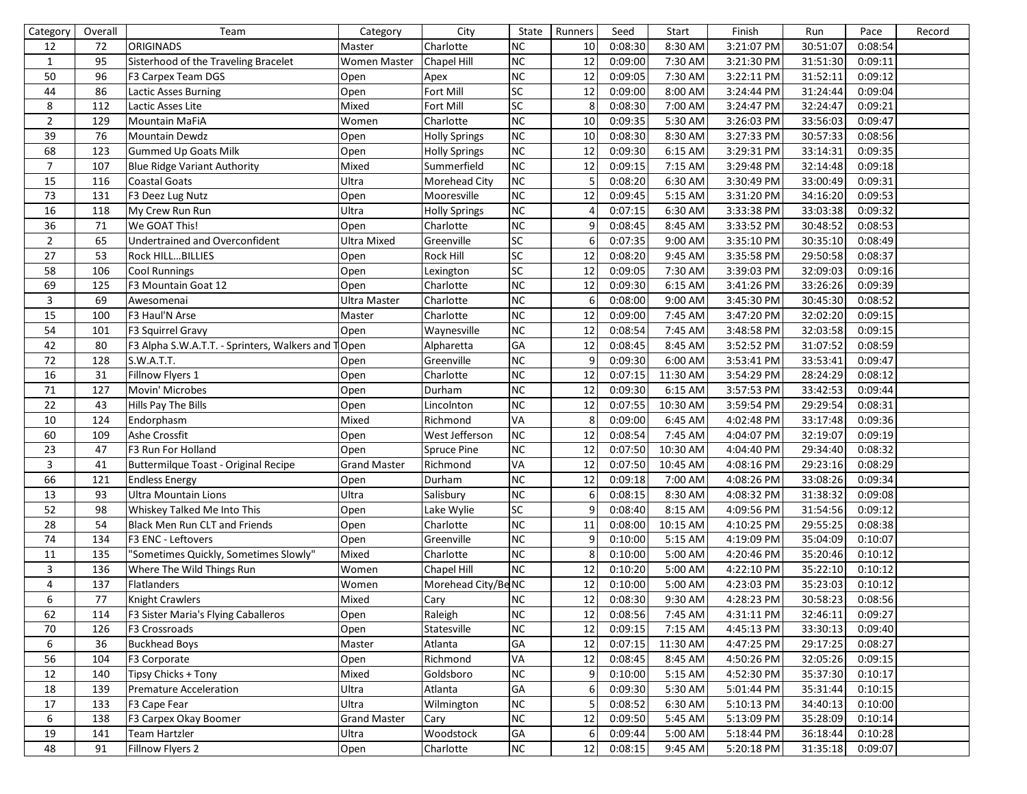| Category                | Overall | Team                                               | Category            | City                 | State     | Runners | Seed    | Start    | Finish     | Run      | Pace    | Record |
|-------------------------|---------|----------------------------------------------------|---------------------|----------------------|-----------|---------|---------|----------|------------|----------|---------|--------|
| 12                      | 72      | <b>ORIGINADS</b>                                   | Master              | Charlotte            | <b>NC</b> | 10      | 0:08:30 | 8:30 AM  | 3:21:07 PM | 30:51:07 | 0:08:54 |        |
| $\mathbf{1}$            | 95      | Sisterhood of the Traveling Bracelet               | Women Master        | Chapel Hill          | <b>NC</b> | 12      | 0:09:00 | 7:30 AM  | 3:21:30 PM | 31:51:30 | 0:09:11 |        |
| 50                      | 96      | F3 Carpex Team DGS                                 | Open                | Apex                 | NC        | 12      | 0:09:05 | 7:30 AM  | 3:22:11 PM | 31:52:11 | 0:09:12 |        |
| 44                      | 86      | <b>Lactic Asses Burning</b>                        | Open                | Fort Mill            | SC        | 12      | 0:09:00 | 8:00 AM  | 3:24:44 PM | 31:24:44 | 0:09:04 |        |
| 8                       | 112     | Lactic Asses Lite                                  | Mixed               | Fort Mill            | SC        | 8       | 0:08:30 | 7:00 AM  | 3:24:47 PM | 32:24:47 | 0:09:21 |        |
| $\overline{2}$          | 129     | Mountain MaFiA                                     | Women               | Charlotte            | NC        | 10      | 0:09:35 | 5:30 AM  | 3:26:03 PM | 33:56:03 | 0:09:47 |        |
| 39                      | 76      | Mountain Dewdz                                     | Open                | <b>Holly Springs</b> | <b>NC</b> | 10      | 0:08:30 | 8:30 AM  | 3:27:33 PM | 30:57:33 | 0:08:56 |        |
| 68                      | 123     | <b>Gummed Up Goats Milk</b>                        | Open                | <b>Holly Springs</b> | <b>NC</b> | 12      | 0:09:30 | 6:15 AM  | 3:29:31 PM | 33:14:31 | 0:09:35 |        |
| $\overline{7}$          | 107     | <b>Blue Ridge Variant Authority</b>                | Mixed               | Summerfield          | <b>NC</b> | 12      | 0:09:15 | 7:15 AM  | 3:29:48 PM | 32:14:48 | 0:09:18 |        |
| 15                      | 116     | <b>Coastal Goats</b>                               | Ultra               | Morehead City        | <b>NC</b> | 5       | 0:08:20 | 6:30 AM  | 3:30:49 PM | 33:00:49 | 0:09:31 |        |
| 73                      | 131     | F3 Deez Lug Nutz                                   | Open                | Mooresville          | <b>NC</b> | 12      | 0:09:45 | 5:15 AM  | 3:31:20 PM | 34:16:20 | 0:09:53 |        |
| 16                      | 118     | My Crew Run Run                                    | Ultra               | <b>Holly Springs</b> | <b>NC</b> | ⊿       | 0:07:15 | 6:30 AM  | 3:33:38 PM | 33:03:38 | 0:09:32 |        |
| 36                      | 71      | We GOAT This!                                      | Open                | Charlotte            | <b>NC</b> |         | 0:08:45 | 8:45 AM  | 3:33:52 PM | 30:48:52 | 0:08:53 |        |
| $\overline{2}$          | 65      | Undertrained and Overconfident                     | <b>Ultra Mixed</b>  | Greenville           | <b>SC</b> | 6       | 0:07:35 | 9:00 AM  | 3:35:10 PM | 30:35:10 | 0:08:49 |        |
| 27                      | 53      | Rock HILLBILLIES                                   | Open                | Rock Hill            | SC        | 12      | 0:08:20 | 9:45 AM  | 3:35:58 PM | 29:50:58 | 0:08:37 |        |
| 58                      | 106     | <b>Cool Runnings</b>                               | Open                | Lexington            | SC        | 12      | 0:09:05 | 7:30 AM  | 3:39:03 PM | 32:09:03 | 0:09:16 |        |
| 69                      | 125     | F3 Mountain Goat 12                                | Open                | Charlotte            | <b>NC</b> | 12      | 0:09:30 | 6:15 AM  | 3:41:26 PM | 33:26:26 | 0:09:39 |        |
| 3                       | 69      | Awesomenai                                         | <b>Ultra Master</b> | Charlotte            | <b>NC</b> | 6       | 0:08:00 | 9:00 AM  | 3:45:30 PM | 30:45:30 | 0:08:52 |        |
| 15                      | 100     | F3 Haul'N Arse                                     | Master              | Charlotte            | NC        | 12      | 0:09:00 | 7:45 AM  | 3:47:20 PM | 32:02:20 | 0:09:15 |        |
| 54                      | 101     | F3 Squirrel Gravy                                  | Open                | Waynesville          | <b>NC</b> | 12      | 0:08:54 | 7:45 AM  | 3:48:58 PM | 32:03:58 | 0:09:15 |        |
| 42                      | 80      | F3 Alpha S.W.A.T.T. - Sprinters, Walkers and TOpen |                     | Alpharetta           | GA        | 12      | 0:08:45 | 8:45 AM  | 3:52:52 PM | 31:07:52 | 0:08:59 |        |
| 72                      | 128     | S.W.A.T.T.                                         | Open                | Greenville           | <b>NC</b> | 9       | 0:09:30 | 6:00 AM  | 3:53:41 PM | 33:53:41 | 0:09:47 |        |
| 16                      | 31      | Fillnow Flyers 1                                   | Open                | Charlotte            | <b>NC</b> | 12      | 0:07:15 | 11:30 AM | 3:54:29 PM | 28:24:29 | 0:08:12 |        |
| $71\,$                  | 127     | Movin' Microbes                                    | Open                | Durham               | <b>NC</b> | 12      | 0:09:30 | 6:15 AM  | 3:57:53 PM | 33:42:53 | 0:09:44 |        |
| 22                      | 43      | Hills Pay The Bills                                | Open                | Lincolnton           | <b>NC</b> | 12      | 0:07:55 | 10:30 AM | 3:59:54 PM | 29:29:54 | 0:08:31 |        |
| 10                      | 124     | Endorphasm                                         | Mixed               | Richmond             | VA        | 8       | 0:09:00 | 6:45 AM  | 4:02:48 PM | 33:17:48 | 0:09:36 |        |
| 60                      | 109     | <b>Ashe Crossfit</b>                               | Open                | West Jefferson       | <b>NC</b> | 12      | 0:08:54 | 7:45 AM  | 4:04:07 PM | 32:19:07 | 0:09:19 |        |
| 23                      | 47      | F3 Run For Holland                                 | Open                | <b>Spruce Pine</b>   | NC        | 12      | 0:07:50 | 10:30 AM | 4:04:40 PM | 29:34:40 | 0:08:32 |        |
| $\overline{\mathbf{3}}$ | 41      | Buttermilque Toast - Original Recipe               | <b>Grand Master</b> | Richmond             | VA        | 12      | 0:07:50 | 10:45 AM | 4:08:16 PM | 29:23:16 | 0:08:29 |        |
| 66                      | 121     | <b>Endless Energy</b>                              | Open                | Durham               | <b>NC</b> | 12      | 0:09:18 | 7:00 AM  | 4:08:26 PM | 33:08:26 | 0:09:34 |        |
| 13                      | 93      | <b>Ultra Mountain Lions</b>                        | Ultra               | Salisbury            | <b>NC</b> | 6       | 0:08:15 | 8:30 AM  | 4:08:32 PM | 31:38:32 | 0:09:08 |        |
| 52                      | 98      | Whiskey Talked Me Into This                        | Open                | Lake Wylie           | SC        |         | 0:08:40 | 8:15 AM  | 4:09:56 PM | 31:54:56 | 0:09:12 |        |
| 28                      | 54      | Black Men Run CLT and Friends                      | Open                | Charlotte            | <b>NC</b> | 11      | 0:08:00 | 10:15 AM | 4:10:25 PM | 29:55:25 | 0:08:38 |        |
| 74                      | 134     | F3 ENC - Leftovers                                 | Open                | Greenville           | <b>NC</b> | 9       | 0:10:00 | 5:15 AM  | 4:19:09 PM | 35:04:09 | 0:10:07 |        |
| 11                      | 135     | "Sometimes Quickly, Sometimes Slowly"              | Mixed               | Charlotte            | <b>NC</b> | 8       | 0:10:00 | 5:00 AM  | 4:20:46 PM | 35:20:46 | 0:10:12 |        |
| 3                       | 136     | Where The Wild Things Run                          | Women               | Chapel Hill          | <b>NC</b> | 12      | 0:10:20 | 5:00 AM  | 4:22:10 PM | 35:22:10 | 0:10:12 |        |
| 4                       | 137     | Flatlanders                                        | Women               | Morehead City/Be NC  |           | 12      | 0:10:00 | 5:00 AM  | 4:23:03 PM | 35:23:03 | 0:10:12 |        |
| 6                       | 77      | <b>Knight Crawlers</b>                             | Mixed               | Cary                 | <b>NC</b> | 12      | 0:08:30 | 9:30 AM  | 4:28:23 PM | 30:58:23 | 0:08:56 |        |
| 62                      | 114     | F3 Sister Maria's Flying Caballeros                | Open                | Raleigh              | <b>NC</b> | 12      | 0:08:56 | 7:45 AM  | 4:31:11 PM | 32:46:11 | 0:09:27 |        |
| 70                      | 126     | F3 Crossroads                                      | Open                | Statesville          | NC        | 12      | 0:09:15 | 7:15 AM  | 4:45:13 PM | 33:30:13 | 0:09:40 |        |
| 6                       | 36      | <b>Buckhead Boys</b>                               | Master              | Atlanta              | GA        | 12      | 0:07:15 | 11:30 AM | 4:47:25 PM | 29:17:25 | 0:08:27 |        |
| 56                      | 104     | F3 Corporate                                       | Open                | Richmond             | VA        | 12      | 0:08:45 | 8:45 AM  | 4:50:26 PM | 32:05:26 | 0:09:15 |        |
| 12                      | 140     | Tipsy Chicks + Tony                                | Mixed               | Goldsboro            | <b>NC</b> | 9       | 0:10:00 | 5:15 AM  | 4:52:30 PM | 35:37:30 | 0:10:17 |        |
| 18                      | 139     | <b>Premature Acceleration</b>                      | Ultra               | Atlanta              | GA        | 6       | 0:09:30 | 5:30 AM  | 5:01:44 PM | 35:31:44 | 0:10:15 |        |
| 17                      | 133     | F3 Cape Fear                                       | Ultra               | Wilmington           | <b>NC</b> | 5       | 0:08:52 | 6:30 AM  | 5:10:13 PM | 34:40:13 | 0:10:00 |        |
| 6                       | 138     | F3 Carpex Okay Boomer                              | <b>Grand Master</b> | Cary                 | <b>NC</b> | 12      | 0:09:50 | 5:45 AM  | 5:13:09 PM | 35:28:09 | 0:10:14 |        |
| 19                      | 141     | Team Hartzler                                      | Ultra               | Woodstock            | GA        | 6       | 0:09:44 | 5:00 AM  | 5:18:44 PM | 36:18:44 | 0:10:28 |        |
| 48                      | 91      | Fillnow Flyers 2                                   | Open                | Charlotte            | NC        | 12      | 0:08:15 | 9:45 AM  | 5:20:18 PM | 31:35:18 | 0:09:07 |        |